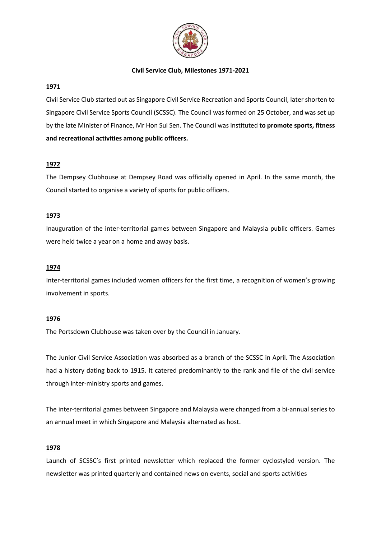

### **1971**

Civil Service Club started out as Singapore Civil Service Recreation and Sports Council, later shorten to Singapore Civil Service Sports Council (SCSSC). The Council was formed on 25 October, and was set up by the late Minister of Finance, Mr Hon Sui Sen. The Council was instituted **to promote sports, fitness and recreational activities among public officers.**

# **1972**

The Dempsey Clubhouse at Dempsey Road was officially opened in April. In the same month, the Council started to organise a variety of sports for public officers.

### **1973**

Inauguration of the inter-territorial games between Singapore and Malaysia public officers. Games were held twice a year on a home and away basis.

#### **1974**

Inter-territorial games included women officers for the first time, a recognition of women's growing involvement in sports.

### **1976**

The Portsdown Clubhouse was taken over by the Council in January.

The Junior Civil Service Association was absorbed as a branch of the SCSSC in April. The Association had a history dating back to 1915. It catered predominantly to the rank and file of the civil service through inter-ministry sports and games.

The inter-territorial games between Singapore and Malaysia were changed from a bi-annual series to an annual meet in which Singapore and Malaysia alternated as host.

#### **1978**

Launch of SCSSC's first printed newsletter which replaced the former cyclostyled version. The newsletter was printed quarterly and contained news on events, social and sports activities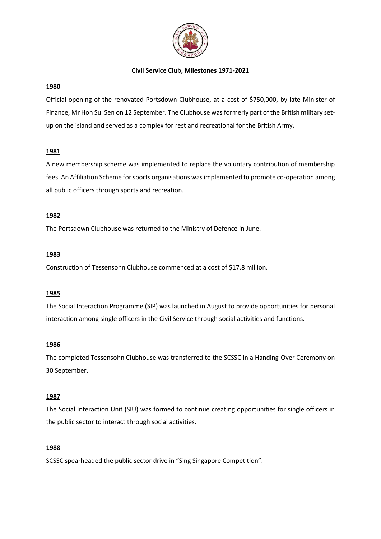

#### **1980**

Official opening of the renovated Portsdown Clubhouse, at a cost of \$750,000, by late Minister of Finance, Mr Hon Sui Sen on 12 September. The Clubhouse was formerly part of the British military setup on the island and served as a complex for rest and recreational for the British Army.

### **1981**

A new membership scheme was implemented to replace the voluntary contribution of membership fees. An Affiliation Scheme for sports organisations was implemented to promote co-operation among all public officers through sports and recreation.

### **1982**

The Portsdown Clubhouse was returned to the Ministry of Defence in June.

### **1983**

Construction of Tessensohn Clubhouse commenced at a cost of \$17.8 million.

#### **1985**

The Social Interaction Programme (SIP) was launched in August to provide opportunities for personal interaction among single officers in the Civil Service through social activities and functions.

#### **1986**

The completed Tessensohn Clubhouse was transferred to the SCSSC in a Handing-Over Ceremony on 30 September.

# **1987**

The Social Interaction Unit (SIU) was formed to continue creating opportunities for single officers in the public sector to interact through social activities.

#### **1988**

SCSSC spearheaded the public sector drive in "Sing Singapore Competition".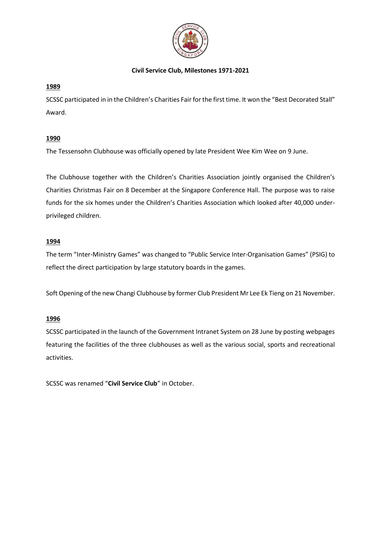

# **1989**

SCSSC participated in in the Children's Charities Fair for the first time. It won the "Best Decorated Stall" Award.

# **1990**

The Tessensohn Clubhouse was officially opened by late President Wee Kim Wee on 9 June.

The Clubhouse together with the Children's Charities Association jointly organised the Children's Charities Christmas Fair on 8 December at the Singapore Conference Hall. The purpose was to raise funds for the six homes under the Children's Charities Association which looked after 40,000 underprivileged children.

# **1994**

The term "Inter-Ministry Games" was changed to "Public Service Inter-Organisation Games" (PSIG) to reflect the direct participation by large statutory boards in the games.

Soft Opening of the new Changi Clubhouse by former Club President Mr Lee Ek Tieng on 21 November.

# **1996**

SCSSC participated in the launch of the Government Intranet System on 28 June by posting webpages featuring the facilities of the three clubhouses as well as the various social, sports and recreational activities.

SCSSC was renamed "**Civil Service Club**" in October.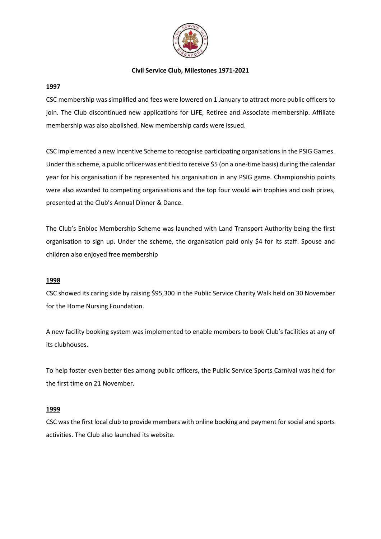

### **1997**

CSC membership was simplified and fees were lowered on 1 January to attract more public officers to join. The Club discontinued new applications for LIFE, Retiree and Associate membership. Affiliate membership was also abolished. New membership cards were issued.

CSC implemented a new Incentive Scheme to recognise participating organisations in the PSIG Games. Under this scheme, a public officer was entitled to receive \$5 (on a one-time basis) during the calendar year for his organisation if he represented his organisation in any PSIG game. Championship points were also awarded to competing organisations and the top four would win trophies and cash prizes, presented at the Club's Annual Dinner & Dance.

The Club's Enbloc Membership Scheme was launched with Land Transport Authority being the first organisation to sign up. Under the scheme, the organisation paid only \$4 for its staff. Spouse and children also enjoyed free membership

#### **1998**

CSC showed its caring side by raising \$95,300 in the Public Service Charity Walk held on 30 November for the Home Nursing Foundation.

A new facility booking system was implemented to enable members to book Club's facilities at any of its clubhouses.

To help foster even better ties among public officers, the Public Service Sports Carnival was held for the first time on 21 November.

# **1999**

CSC was the first local club to provide members with online booking and payment for social and sports activities. The Club also launched its website.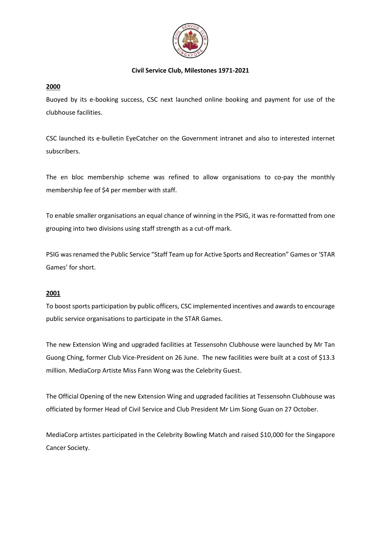

### **2000**

Buoyed by its e-booking success, CSC next launched online booking and payment for use of the clubhouse facilities.

CSC launched its e-bulletin EyeCatcher on the Government intranet and also to interested internet subscribers.

The en bloc membership scheme was refined to allow organisations to co-pay the monthly membership fee of \$4 per member with staff.

To enable smaller organisations an equal chance of winning in the PSIG, it was re-formatted from one grouping into two divisions using staff strength as a cut-off mark.

PSIG was renamed the Public Service "Staff Team up for Active Sports and Recreation" Games or 'STAR Games' for short.

# **2001**

To boost sports participation by public officers, CSC implemented incentives and awards to encourage public service organisations to participate in the STAR Games.

The new Extension Wing and upgraded facilities at Tessensohn Clubhouse were launched by Mr Tan Guong Ching, former Club Vice-President on 26 June. The new facilities were built at a cost of \$13.3 million. MediaCorp Artiste Miss Fann Wong was the Celebrity Guest.

The Official Opening of the new Extension Wing and upgraded facilities at Tessensohn Clubhouse was officiated by former Head of Civil Service and Club President Mr Lim Siong Guan on 27 October.

MediaCorp artistes participated in the Celebrity Bowling Match and raised \$10,000 for the Singapore Cancer Society.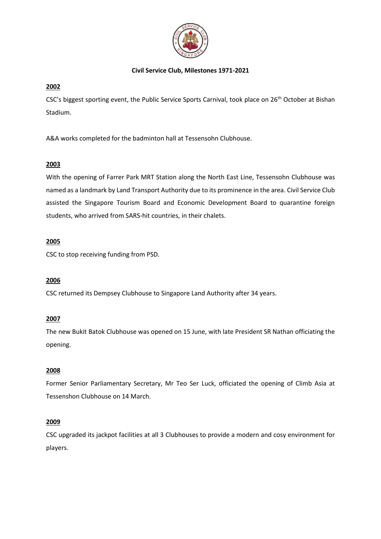

# **2002**

CSC's biggest sporting event, the Public Service Sports Carnival, took place on 26<sup>th</sup> October at Bishan Stadium.

A&A works completed for the badminton hall at Tessensohn Clubhouse.

# **2003**

With the opening of Farrer Park MRT Station along the North East Line, Tessensohn Clubhouse was named as a landmark by Land Transport Authority due to its prominence in the area. Civil Service Club assisted the Singapore Tourism Board and Economic Development Board to quarantine foreign students, who arrived from SARS-hit countries, in their chalets.

# **2005**

CSC to stop receiving funding from PSD.

# **2006**

CSC returned its Dempsey Clubhouse to Singapore Land Authority after 34 years.

# **2007**

The new Bukit Batok Clubhouse was opened on 15 June, with late President SR Nathan officiating the opening.

# **2008**

Former Senior Parliamentary Secretary, Mr Teo Ser Luck, officiated the opening of Climb Asia at Tessenshon Clubhouse on 14 March.

# **2009**

CSC upgraded its jackpot facilities at all 3 Clubhouses to provide a modern and cosy environment for players.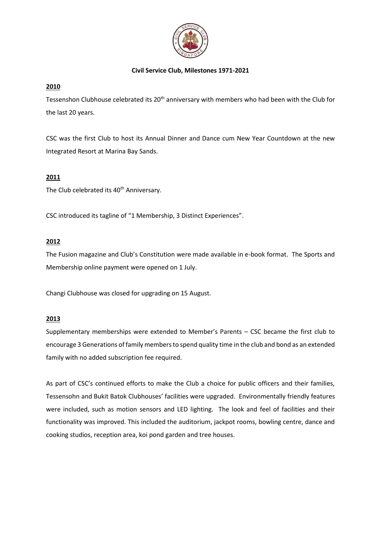

# **2010**

Tessenshon Clubhouse celebrated its  $20<sup>th</sup>$  anniversary with members who had been with the Club for the last 20 years.

CSC was the first Club to host its Annual Dinner and Dance cum New Year Countdown at the new Integrated Resort at Marina Bay Sands.

# **2011**

The Club celebrated its 40<sup>th</sup> Anniversary.

CSC introduced its tagline of "1 Membership, 3 Distinct Experiences".

### **2012**

The Fusion magazine and Club's Constitution were made available in e-book format. The Sports and Membership online payment were opened on 1 July.

Changi Clubhouse was closed for upgrading on 15 August.

# **2013**

Supplementary memberships were extended to Member's Parents – CSC became the first club to encourage 3 Generations of family members to spend quality time in the club and bond as an extended family with no added subscription fee required.

As part of CSC's continued efforts to make the Club a choice for public officers and their families, Tessensohn and Bukit Batok Clubhouses' facilities were upgraded. Environmentally friendly features were included, such as motion sensors and LED lighting. The look and feel of facilities and their functionality was improved. This included the auditorium, jackpot rooms, bowling centre, dance and cooking studios, reception area, koi pond garden and tree houses.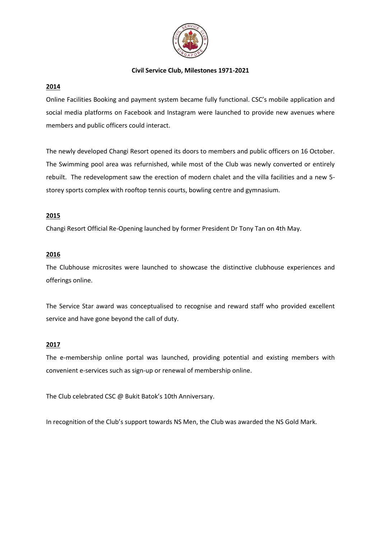

#### **2014**

Online Facilities Booking and payment system became fully functional. CSC's mobile application and social media platforms on Facebook and Instagram were launched to provide new avenues where members and public officers could interact.

The newly developed Changi Resort opened its doors to members and public officers on 16 October. The Swimming pool area was refurnished, while most of the Club was newly converted or entirely rebuilt. The redevelopment saw the erection of modern chalet and the villa facilities and a new 5 storey sports complex with rooftop tennis courts, bowling centre and gymnasium.

### **2015**

Changi Resort Official Re-Opening launched by former President Dr Tony Tan on 4th May.

### **2016**

The Clubhouse microsites were launched to showcase the distinctive clubhouse experiences and offerings online.

The Service Star award was conceptualised to recognise and reward staff who provided excellent service and have gone beyond the call of duty.

#### **2017**

The e-membership online portal was launched, providing potential and existing members with convenient e-services such as sign-up or renewal of membership online.

The Club celebrated CSC @ Bukit Batok's 10th Anniversary.

In recognition of the Club's support towards NS Men, the Club was awarded the NS Gold Mark.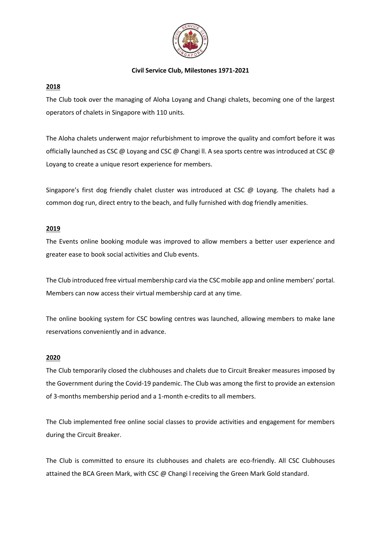

### **2018**

The Club took over the managing of Aloha Loyang and Changi chalets, becoming one of the largest operators of chalets in Singapore with 110 units.

The Aloha chalets underwent major refurbishment to improve the quality and comfort before it was officially launched as CSC @ Loyang and CSC @ Changi ll. A sea sports centre was introduced at CSC @ Loyang to create a unique resort experience for members.

Singapore's first dog friendly chalet cluster was introduced at CSC @ Loyang. The chalets had a common dog run, direct entry to the beach, and fully furnished with dog friendly amenities.

### **2019**

The Events online booking module was improved to allow members a better user experience and greater ease to book social activities and Club events.

The Club introduced free virtual membership card via the CSC mobile app and online members' portal. Members can now access their virtual membership card at any time.

The online booking system for CSC bowling centres was launched, allowing members to make lane reservations conveniently and in advance.

#### **2020**

The Club temporarily closed the clubhouses and chalets due to Circuit Breaker measures imposed by the Government during the Covid-19 pandemic. The Club was among the first to provide an extension of 3-months membership period and a 1-month e-credits to all members.

The Club implemented free online social classes to provide activities and engagement for members during the Circuit Breaker.

The Club is committed to ensure its clubhouses and chalets are eco-friendly. All CSC Clubhouses attained the BCA Green Mark, with CSC @ Changi l receiving the Green Mark Gold standard.